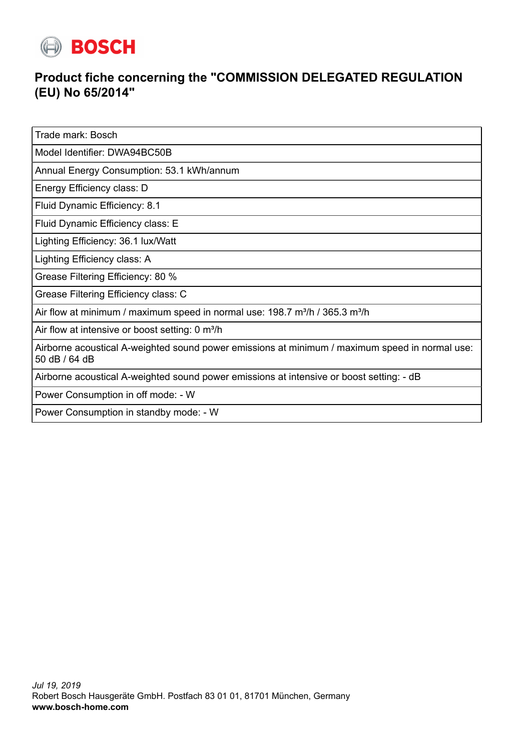

## **Product fiche concerning the "COMMISSION DELEGATED REGULATION (EU) No 65/2014"**

Trade mark: Bosch

Model Identifier: DWA94BC50B

Annual Energy Consumption: 53.1 kWh/annum

Energy Efficiency class: D

Fluid Dynamic Efficiency: 8.1

Fluid Dynamic Efficiency class: E

Lighting Efficiency: 36.1 lux/Watt

Lighting Efficiency class: A

Grease Filtering Efficiency: 80 %

Grease Filtering Efficiency class: C

Air flow at minimum / maximum speed in normal use:  $198.7 \text{ m}^3/\text{h}$  /  $365.3 \text{ m}^3/\text{h}$ 

Air flow at intensive or boost setting: 0 m<sup>3</sup>/h

Airborne acoustical A-weighted sound power emissions at minimum / maximum speed in normal use: 50 dB / 64 dB

Airborne acoustical A-weighted sound power emissions at intensive or boost setting: - dB

Power Consumption in off mode: - W

Power Consumption in standby mode: - W